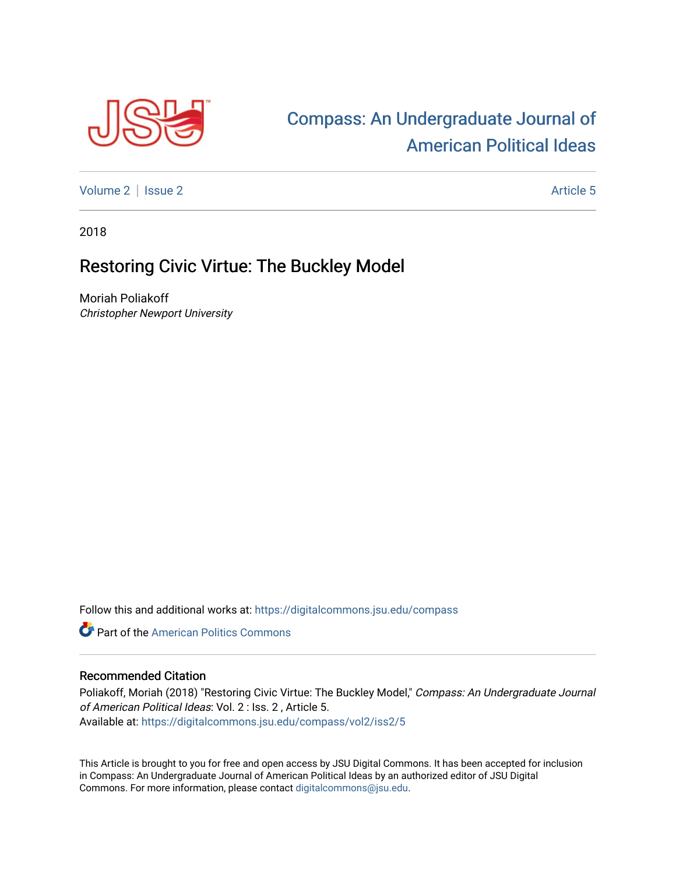

## [Compass: An Undergraduate Journal of](https://digitalcommons.jsu.edu/compass)  [American Political Ideas](https://digitalcommons.jsu.edu/compass)

[Volume 2](https://digitalcommons.jsu.edu/compass/vol2) | [Issue 2](https://digitalcommons.jsu.edu/compass/vol2/iss2) Article 5

2018

## Restoring Civic Virtue: The Buckley Model

Moriah Poliakoff Christopher Newport University

Follow this and additional works at: [https://digitalcommons.jsu.edu/compass](https://digitalcommons.jsu.edu/compass?utm_source=digitalcommons.jsu.edu%2Fcompass%2Fvol2%2Fiss2%2F5&utm_medium=PDF&utm_campaign=PDFCoverPages)

**C** Part of the American Politics Commons

## Recommended Citation

Poliakoff, Moriah (2018) "Restoring Civic Virtue: The Buckley Model," Compass: An Undergraduate Journal of American Political Ideas: Vol. 2 : Iss. 2 , Article 5. Available at: [https://digitalcommons.jsu.edu/compass/vol2/iss2/5](https://digitalcommons.jsu.edu/compass/vol2/iss2/5?utm_source=digitalcommons.jsu.edu%2Fcompass%2Fvol2%2Fiss2%2F5&utm_medium=PDF&utm_campaign=PDFCoverPages)

This Article is brought to you for free and open access by JSU Digital Commons. It has been accepted for inclusion in Compass: An Undergraduate Journal of American Political Ideas by an authorized editor of JSU Digital Commons. For more information, please contact [digitalcommons@jsu.edu.](mailto:digitalcommons@jsu.edu)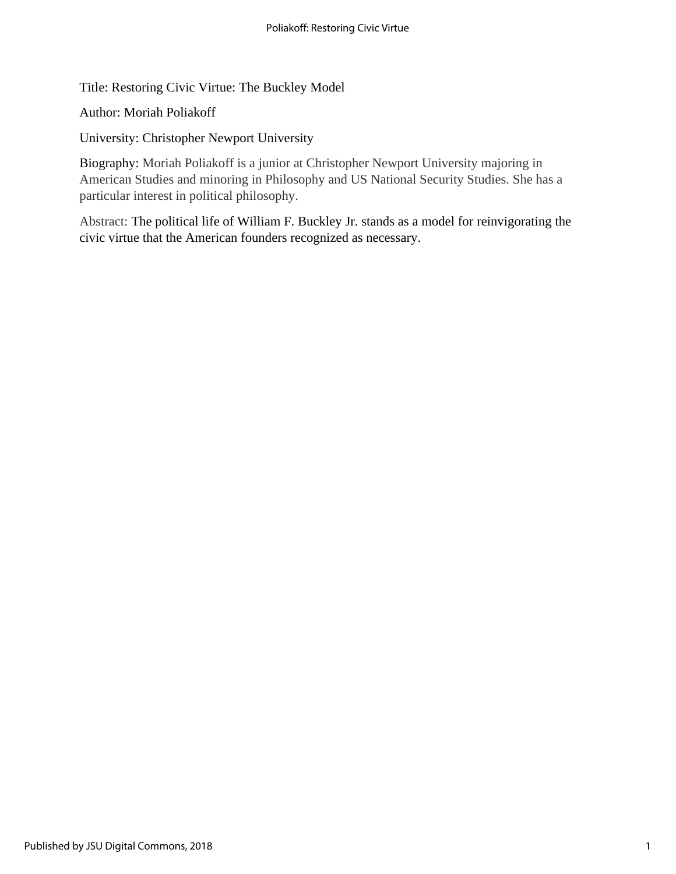Title: Restoring Civic Virtue: The Buckley Model

Author: Moriah Poliakoff

University: Christopher Newport University

Biography: Moriah Poliakoff is a junior at Christopher Newport University majoring in American Studies and minoring in Philosophy and US National Security Studies. She has a particular interest in political philosophy.

Abstract: The political life of William F. Buckley Jr. stands as a model for reinvigorating the civic virtue that the American founders recognized as necessary.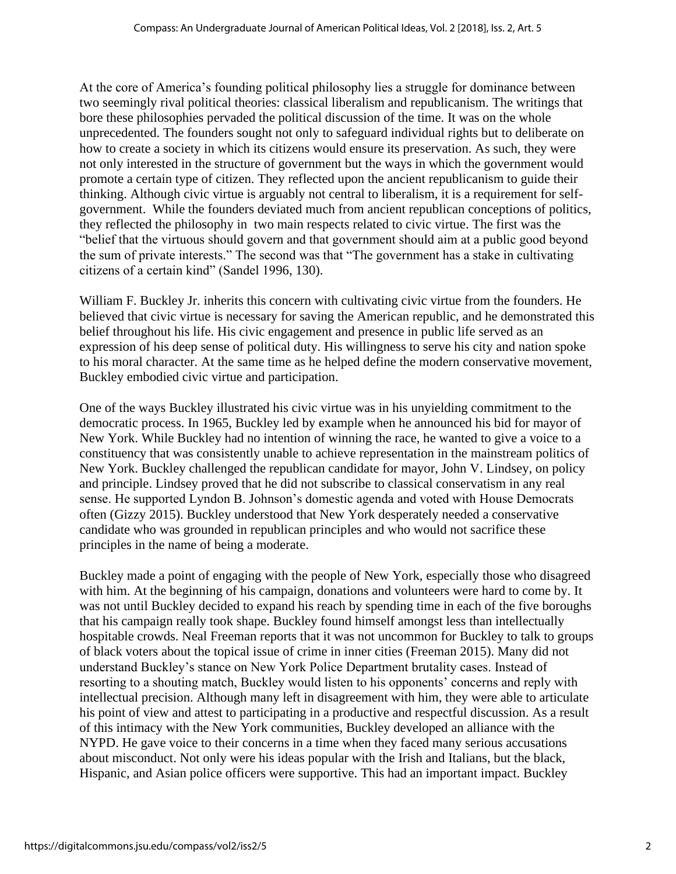At the core of America's founding political philosophy lies a struggle for dominance between two seemingly rival political theories: classical liberalism and republicanism. The writings that bore these philosophies pervaded the political discussion of the time. It was on the whole unprecedented. The founders sought not only to safeguard individual rights but to deliberate on how to create a society in which its citizens would ensure its preservation. As such, they were not only interested in the structure of government but the ways in which the government would promote a certain type of citizen. They reflected upon the ancient republicanism to guide their thinking. Although civic virtue is arguably not central to liberalism, it is a requirement for selfgovernment. While the founders deviated much from ancient republican conceptions of politics, they reflected the philosophy in two main respects related to civic virtue. The first was the "belief that the virtuous should govern and that government should aim at a public good beyond the sum of private interests." The second was that "The government has a stake in cultivating citizens of a certain kind" (Sandel 1996, 130).

William F. Buckley Jr. inherits this concern with cultivating civic virtue from the founders. He believed that civic virtue is necessary for saving the American republic, and he demonstrated this belief throughout his life. His civic engagement and presence in public life served as an expression of his deep sense of political duty. His willingness to serve his city and nation spoke to his moral character. At the same time as he helped define the modern conservative movement, Buckley embodied civic virtue and participation.

One of the ways Buckley illustrated his civic virtue was in his unyielding commitment to the democratic process. In 1965, Buckley led by example when he announced his bid for mayor of New York. While Buckley had no intention of winning the race, he wanted to give a voice to a constituency that was consistently unable to achieve representation in the mainstream politics of New York. Buckley challenged the republican candidate for mayor, John V. Lindsey, on policy and principle. Lindsey proved that he did not subscribe to classical conservatism in any real sense. He supported Lyndon B. Johnson's domestic agenda and voted with House Democrats often (Gizzy 2015). Buckley understood that New York desperately needed a conservative candidate who was grounded in republican principles and who would not sacrifice these principles in the name of being a moderate.

Buckley made a point of engaging with the people of New York, especially those who disagreed with him. At the beginning of his campaign, donations and volunteers were hard to come by. It was not until Buckley decided to expand his reach by spending time in each of the five boroughs that his campaign really took shape. Buckley found himself amongst less than intellectually hospitable crowds. Neal Freeman reports that it was not uncommon for Buckley to talk to groups of black voters about the topical issue of crime in inner cities (Freeman 2015). Many did not understand Buckley's stance on New York Police Department brutality cases. Instead of resorting to a shouting match, Buckley would listen to his opponents' concerns and reply with intellectual precision. Although many left in disagreement with him, they were able to articulate his point of view and attest to participating in a productive and respectful discussion. As a result of this intimacy with the New York communities, Buckley developed an alliance with the NYPD. He gave voice to their concerns in a time when they faced many serious accusations about misconduct. Not only were his ideas popular with the Irish and Italians, but the black, Hispanic, and Asian police officers were supportive. This had an important impact. Buckley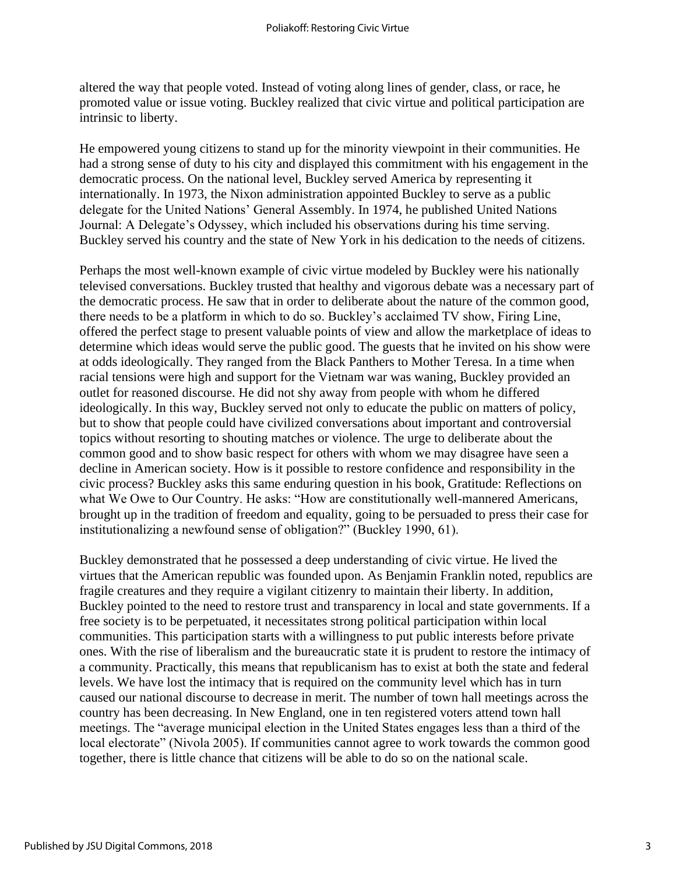altered the way that people voted. Instead of voting along lines of gender, class, or race, he promoted value or issue voting. Buckley realized that civic virtue and political participation are intrinsic to liberty.

He empowered young citizens to stand up for the minority viewpoint in their communities. He had a strong sense of duty to his city and displayed this commitment with his engagement in the democratic process. On the national level, Buckley served America by representing it internationally. In 1973, the Nixon administration appointed Buckley to serve as a public delegate for the United Nations' General Assembly. In 1974, he published United Nations Journal: A Delegate's Odyssey, which included his observations during his time serving. Buckley served his country and the state of New York in his dedication to the needs of citizens.

Perhaps the most well-known example of civic virtue modeled by Buckley were his nationally televised conversations. Buckley trusted that healthy and vigorous debate was a necessary part of the democratic process. He saw that in order to deliberate about the nature of the common good, there needs to be a platform in which to do so. Buckley's acclaimed TV show, Firing Line, offered the perfect stage to present valuable points of view and allow the marketplace of ideas to determine which ideas would serve the public good. The guests that he invited on his show were at odds ideologically. They ranged from the Black Panthers to Mother Teresa. In a time when racial tensions were high and support for the Vietnam war was waning, Buckley provided an outlet for reasoned discourse. He did not shy away from people with whom he differed ideologically. In this way, Buckley served not only to educate the public on matters of policy, but to show that people could have civilized conversations about important and controversial topics without resorting to shouting matches or violence. The urge to deliberate about the common good and to show basic respect for others with whom we may disagree have seen a decline in American society. How is it possible to restore confidence and responsibility in the civic process? Buckley asks this same enduring question in his book, Gratitude: Reflections on what We Owe to Our Country. He asks: "How are constitutionally well-mannered Americans, brought up in the tradition of freedom and equality, going to be persuaded to press their case for institutionalizing a newfound sense of obligation?" (Buckley 1990, 61).

Buckley demonstrated that he possessed a deep understanding of civic virtue. He lived the virtues that the American republic was founded upon. As Benjamin Franklin noted, republics are fragile creatures and they require a vigilant citizenry to maintain their liberty. In addition, Buckley pointed to the need to restore trust and transparency in local and state governments. If a free society is to be perpetuated, it necessitates strong political participation within local communities. This participation starts with a willingness to put public interests before private ones. With the rise of liberalism and the bureaucratic state it is prudent to restore the intimacy of a community. Practically, this means that republicanism has to exist at both the state and federal levels. We have lost the intimacy that is required on the community level which has in turn caused our national discourse to decrease in merit. The number of town hall meetings across the country has been decreasing. In New England, one in ten registered voters attend town hall meetings. The "average municipal election in the United States engages less than a third of the local electorate" (Nivola 2005). If communities cannot agree to work towards the common good together, there is little chance that citizens will be able to do so on the national scale.